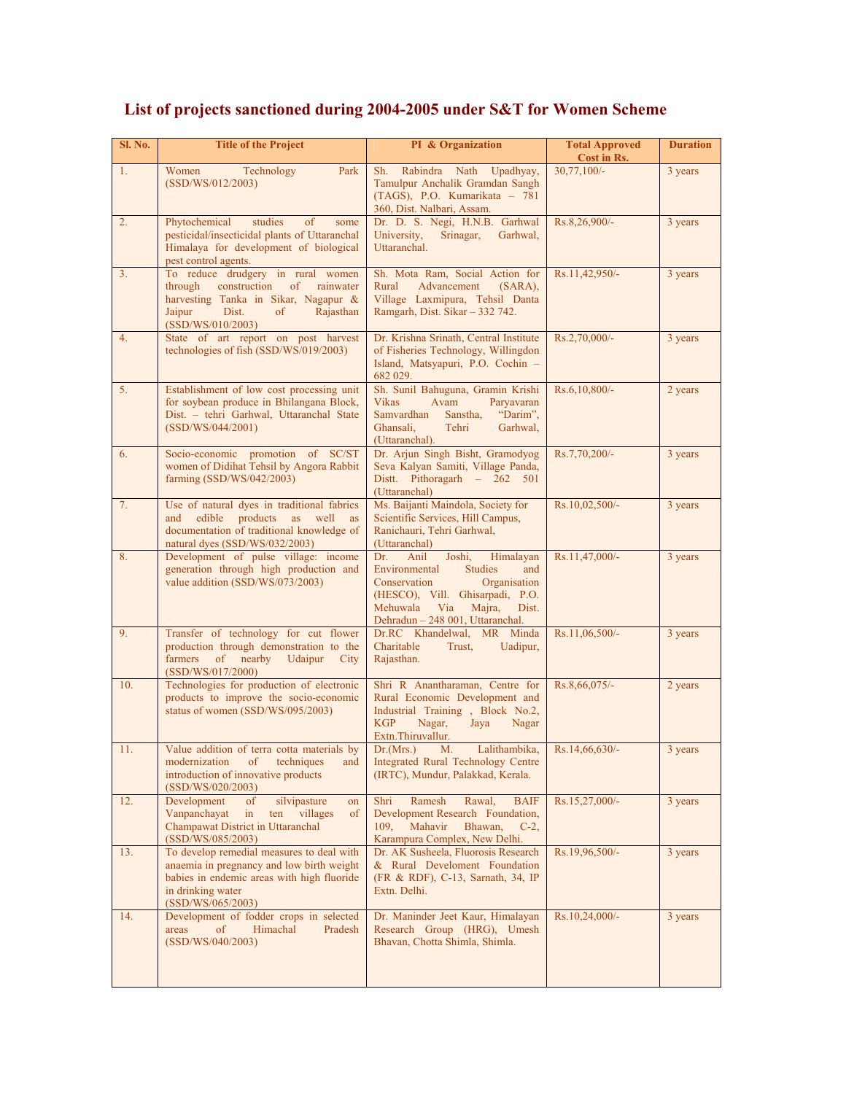| Sl. No.        | <b>Title of the Project</b>                                                                                                                                                        | PI & Organization                                                                                                                                                                                                         | <b>Total Approved</b><br>Cost in Rs. | <b>Duration</b> |
|----------------|------------------------------------------------------------------------------------------------------------------------------------------------------------------------------------|---------------------------------------------------------------------------------------------------------------------------------------------------------------------------------------------------------------------------|--------------------------------------|-----------------|
| 1.             | Park<br>Women<br>Technology<br>(SSD/WS/012/2003)                                                                                                                                   | Upadhyay,<br>Sh.<br>Rabindra Nath<br>Tamulpur Anchalik Gramdan Sangh<br>(TAGS), P.O. Kumarikata - 781<br>360, Dist. Nalbari, Assam.                                                                                       | $30,77,100/-$                        | 3 years         |
| 2.             | Phytochemical<br>studies<br>of<br>some<br>pesticidal/insecticidal plants of Uttaranchal<br>Himalaya for development of biological<br>pest control agents.                          | Dr. D. S. Negi, H.N.B. Garhwal<br>University,<br>Srinagar,<br>Garhwal,<br>Uttaranchal.                                                                                                                                    | Rs.8,26,900/-                        | 3 years         |
| 3 <sub>1</sub> | To reduce drudgery in rural women<br>through<br>construction<br>of<br>rainwater<br>harvesting Tanka in Sikar, Nagapur &<br>Jaipur<br>Dist.<br>of<br>Rajasthan<br>(SSD/WS/010/2003) | Sh. Mota Ram, Social Action for<br>Advancement<br>Rural<br>$(SARA)$ ,<br>Village Laxmipura, Tehsil Danta<br>Ramgarh, Dist. Sikar - 332 742.                                                                               | Rs.11,42,950/-                       | 3 years         |
| 4.             | State of art report on post harvest<br>technologies of fish (SSD/WS/019/2003)                                                                                                      | Dr. Krishna Srinath, Central Institute<br>of Fisheries Technology, Willingdon<br>Island, Matsyapuri, P.O. Cochin -<br>682 029.                                                                                            | Rs.2,70,000/-                        | 3 years         |
| 5.             | Establishment of low cost processing unit<br>for soybean produce in Bhilangana Block,<br>Dist. - tehri Garhwal, Uttaranchal State<br>(SSD/WS/044/2001)                             | Sh. Sunil Bahuguna, Gramin Krishi<br>Vikas<br>Avam<br>Paryavaran<br>Samvardhan Sanstha,<br>"Darim",<br>Ghansali,<br>Tehri<br>Garhwal,<br>(Uttaranchal).                                                                   | Rs.6,10,800/-                        | 2 years         |
| 6.             | Socio-economic promotion of SC/ST<br>women of Didihat Tehsil by Angora Rabbit<br>farming (SSD/WS/042/2003)                                                                         | Dr. Arjun Singh Bisht, Gramodyog<br>Seva Kalyan Samiti, Village Panda,<br>Distt. Pithoragarh - 262 501<br>(Uttaranchal)                                                                                                   | Rs.7,70,200/-                        | 3 years         |
| 7.             | Use of natural dyes in traditional fabrics<br>edible products as well<br>and<br>as<br>documentation of traditional knowledge of<br>natural dyes (SSD/WS/032/2003)                  | Ms. Baijanti Maindola, Society for<br>Scientific Services, Hill Campus,<br>Ranichauri, Tehri Garhwal,<br>(Uttaranchal)                                                                                                    | Rs.10,02,500/-                       | 3 years         |
| 8.             | Development of pulse village: income<br>generation through high production and<br>value addition (SSD/WS/073/2003)                                                                 | Dr.<br>Joshi,<br>Himalayan<br>Anil<br>Environmental<br><b>Studies</b><br>and<br>Organisation<br>Conservation<br>(HESCO), Vill. Ghisarpadi, P.O.<br>Mehuwala<br>Via<br>Majra,<br>Dist.<br>Dehradun - 248 001, Uttaranchal. | Rs.11,47,000/-                       | 3 years         |
| 9.             | Transfer of technology for cut flower<br>production through demonstration to the<br>$\sigma$<br>nearby<br>Udaipur<br>farmers<br>City<br>(SSD/WS/017/2000)                          | Dr.RC Khandelwal, MR Minda<br>Charitable<br>Trust,<br>Uadipur,<br>Rajasthan.                                                                                                                                              | Rs.11,06,500/-                       | 3 years         |
| 10.            | Technologies for production of electronic<br>products to improve the socio-economic<br>status of women (SSD/WS/095/2003)                                                           | Shri R Anantharaman, Centre for<br>Rural Economic Development and<br>Industrial Training, Block No.2,<br><b>KGP</b><br>Nagar,<br>Jaya<br>Nagar<br>Extn.Thiruvallur.                                                       | Rs.8,66,075/-                        | 2 years         |
| 11.            | Value addition of terra cotta materials by<br>modernization<br>of<br>techniques<br>and<br>introduction of innovative products<br>(SSD/WS/020/2003)                                 | Lalithambika,<br>Dr.(Mrs.)<br>М.<br><b>Integrated Rural Technology Centre</b><br>(IRTC), Mundur, Palakkad, Kerala.                                                                                                        | Rs.14,66,630/-                       | 3 years         |
| 12.            | Development<br>silvipasture<br><sub>of</sub><br>on<br>Vanpanchayat<br>in<br>ten<br>villages<br>of<br>Champawat District in Uttaranchal<br>(SSD/WS/085/2003)                        | Shri<br>Ramesh<br>Rawal,<br><b>BAIF</b><br>Development Research Foundation,<br>109.<br>Mahavir<br>Bhawan,<br>$C-2$ ,<br>Karampura Complex, New Delhi.                                                                     | Rs.15,27,000/-                       | 3 years         |
| 13.            | To develop remedial measures to deal with<br>anaemia in pregnancy and low birth weight<br>babies in endemic areas with high fluoride<br>in drinking water<br>(SSD/WS/065/2003)     | Dr. AK Susheela, Fluorosis Research<br>& Rural Develoment Foundation<br>(FR & RDF), C-13, Sarnath, 34, IP<br>Extn. Delhi.                                                                                                 | Rs.19,96,500/-                       | 3 years         |
| 14.            | Development of fodder crops in selected<br>Himachal<br>areas<br>of<br>Pradesh<br>(SSD/WS/040/2003)                                                                                 | Dr. Maninder Jeet Kaur, Himalayan<br>Research Group (HRG), Umesh<br>Bhavan, Chotta Shimla, Shimla.                                                                                                                        | Rs.10,24,000/-                       | 3 years         |

## **List of projects sanctioned during 2004-2005 under S&T for Women Scheme**